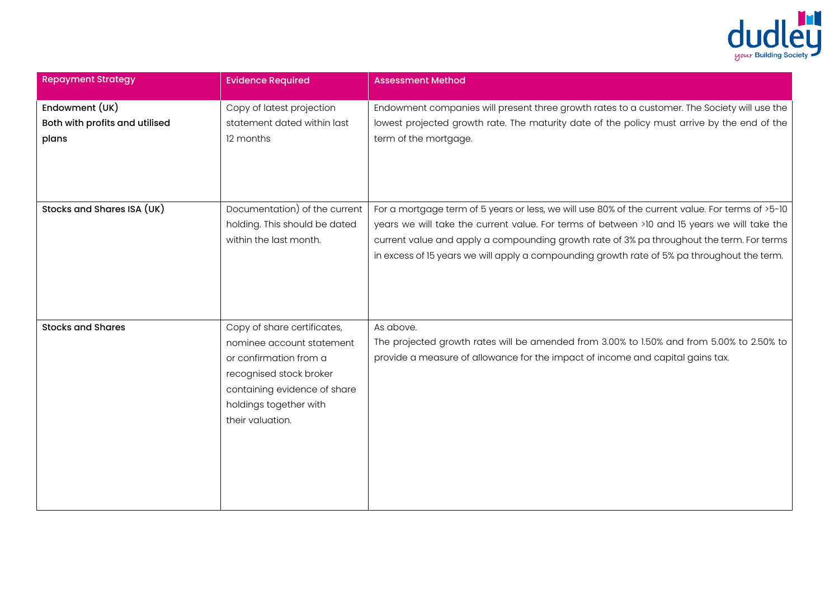

| <b>Repayment Strategy</b>                                 | <b>Evidence Required</b>                                                                                                                                                                    | <b>Assessment Method</b>                                                                                                                                                                                                                                                                                                                                                                     |
|-----------------------------------------------------------|---------------------------------------------------------------------------------------------------------------------------------------------------------------------------------------------|----------------------------------------------------------------------------------------------------------------------------------------------------------------------------------------------------------------------------------------------------------------------------------------------------------------------------------------------------------------------------------------------|
| Endowment (UK)<br>Both with profits and utilised<br>plans | Copy of latest projection<br>statement dated within last<br>12 months                                                                                                                       | Endowment companies will present three growth rates to a customer. The Society will use the<br>lowest projected growth rate. The maturity date of the policy must arrive by the end of the<br>term of the mortgage.                                                                                                                                                                          |
| Stocks and Shares ISA (UK)                                | Documentation) of the current<br>holding. This should be dated<br>within the last month.                                                                                                    | For a mortgage term of 5 years or less, we will use 80% of the current value. For terms of >5-10<br>years we will take the current value. For terms of between >10 and 15 years we will take the<br>current value and apply a compounding growth rate of 3% pa throughout the term. For terms<br>in excess of 15 years we will apply a compounding growth rate of 5% pa throughout the term. |
| <b>Stocks and Shares</b>                                  | Copy of share certificates,<br>nominee account statement<br>or confirmation from a<br>recognised stock broker<br>containing evidence of share<br>holdings together with<br>their valuation. | As above.<br>The projected growth rates will be amended from 3.00% to 1.50% and from 5.00% to 2.50% to<br>provide a measure of allowance for the impact of income and capital gains tax.                                                                                                                                                                                                     |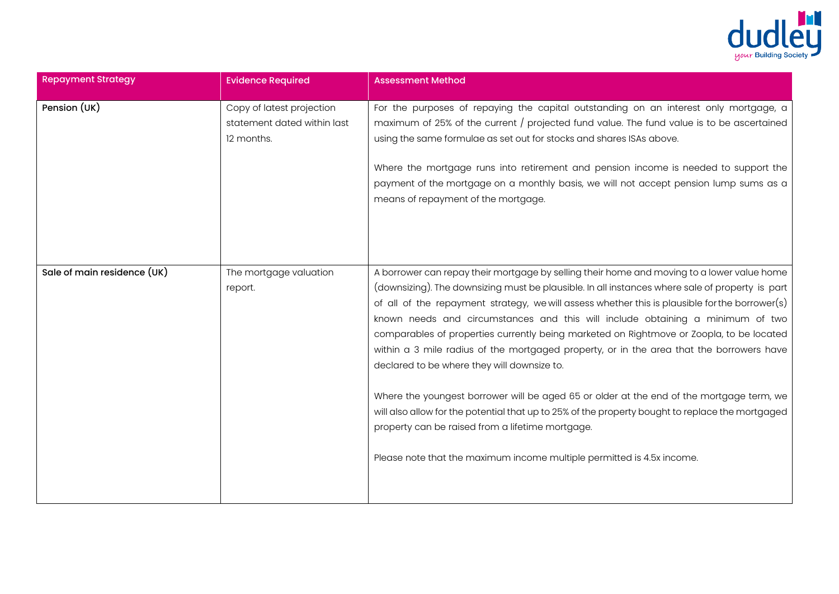

| <b>Repayment Strategy</b>   | <b>Evidence Required</b>                                               | <b>Assessment Method</b>                                                                                                                                                                                                                                                                                                                                                                                                                                                                                                                                                                                                                                                                                                                                                                                                                                                                                                                               |
|-----------------------------|------------------------------------------------------------------------|--------------------------------------------------------------------------------------------------------------------------------------------------------------------------------------------------------------------------------------------------------------------------------------------------------------------------------------------------------------------------------------------------------------------------------------------------------------------------------------------------------------------------------------------------------------------------------------------------------------------------------------------------------------------------------------------------------------------------------------------------------------------------------------------------------------------------------------------------------------------------------------------------------------------------------------------------------|
| Pension (UK)                | Copy of latest projection<br>statement dated within last<br>12 months. | For the purposes of repaying the capital outstanding on an interest only mortgage, a<br>maximum of 25% of the current / projected fund value. The fund value is to be ascertained<br>using the same formulae as set out for stocks and shares ISAs above.<br>Where the mortgage runs into retirement and pension income is needed to support the<br>payment of the mortgage on a monthly basis, we will not accept pension lump sums as a<br>means of repayment of the mortgage.                                                                                                                                                                                                                                                                                                                                                                                                                                                                       |
| Sale of main residence (UK) | The mortgage valuation<br>report.                                      | A borrower can repay their mortgage by selling their home and moving to a lower value home<br>(downsizing). The downsizing must be plausible. In all instances where sale of property is part<br>of all of the repayment strategy, we will assess whether this is plausible for the borrower(s)<br>known needs and circumstances and this will include obtaining a minimum of two<br>comparables of properties currently being marketed on Rightmove or Zoopla, to be located<br>within a 3 mile radius of the mortgaged property, or in the area that the borrowers have<br>declared to be where they will downsize to.<br>Where the youngest borrower will be aged 65 or older at the end of the mortgage term, we<br>will also allow for the potential that up to 25% of the property bought to replace the mortgaged<br>property can be raised from a lifetime mortgage.<br>Please note that the maximum income multiple permitted is 4.5x income. |